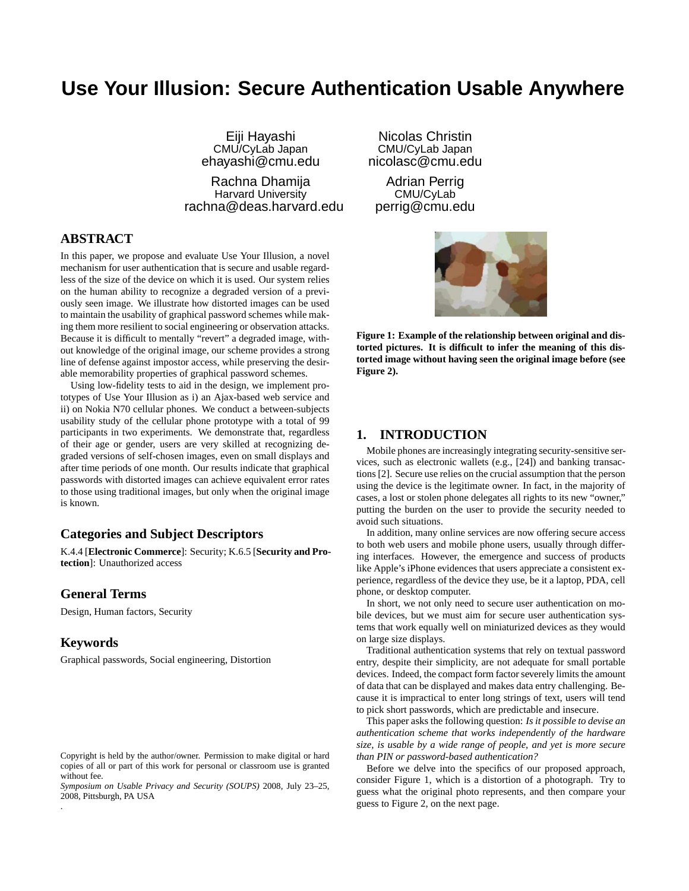# **Use Your Illusion: Secure Authentication Usable Anywhere**

Eiji Hayashi CMU/CyLab Japan ehayashi@cmu.edu

Rachna Dhamija Harvard University rachna@deas.harvard.edu

## **ABSTRACT**

In this paper, we propose and evaluate Use Your Illusion, a novel mechanism for user authentication that is secure and usable regardless of the size of the device on which it is used. Our system relies on the human ability to recognize a degraded version of a previously seen image. We illustrate how distorted images can be used to maintain the usability of graphical password schemes while making them more resilient to social engineering or observation attacks. Because it is difficult to mentally "revert" a degraded image, without knowledge of the original image, our scheme provides a strong line of defense against impostor access, while preserving the desirable memorability properties of graphical password schemes.

Using low-fidelity tests to aid in the design, we implement prototypes of Use Your Illusion as i) an Ajax-based web service and ii) on Nokia N70 cellular phones. We conduct a between-subjects usability study of the cellular phone prototype with a total of 99 participants in two experiments. We demonstrate that, regardless of their age or gender, users are very skilled at recognizing degraded versions of self-chosen images, even on small displays and after time periods of one month. Our results indicate that graphical passwords with distorted images can achieve equivalent error rates to those using traditional images, but only when the original image is known.

### **Categories and Subject Descriptors**

K.4.4 [**Electronic Commerce**]: Security; K.6.5 [**Security and Protection**]: Unauthorized access

#### **General Terms**

Design, Human factors, Security

### **Keywords**

.

Graphical passwords, Social engineering, Distortion

Nicolas Christin CMU/CyLab Japan nicolasc@cmu.edu

Adrian Perrig CMU/CyLab perrig@cmu.edu



**Figure 1: Example of the relationship between original and distorted pictures. It is difficult to infer the meaning of this distorted image without having seen the original image before (see Figure 2).**

#### **1. INTRODUCTION**

Mobile phones are increasingly integrating security-sensitive services, such as electronic wallets (e.g., [24]) and banking transactions [2]. Secure use relies on the crucial assumption that the person using the device is the legitimate owner. In fact, in the majority of cases, a lost or stolen phone delegates all rights to its new "owner," putting the burden on the user to provide the security needed to avoid such situations.

In addition, many online services are now offering secure access to both web users and mobile phone users, usually through differing interfaces. However, the emergence and success of products like Apple's iPhone evidences that users appreciate a consistent experience, regardless of the device they use, be it a laptop, PDA, cell phone, or desktop computer.

In short, we not only need to secure user authentication on mobile devices, but we must aim for secure user authentication systems that work equally well on miniaturized devices as they would on large size displays.

Traditional authentication systems that rely on textual password entry, despite their simplicity, are not adequate for small portable devices. Indeed, the compact form factor severely limits the amount of data that can be displayed and makes data entry challenging. Because it is impractical to enter long strings of text, users will tend to pick short passwords, which are predictable and insecure.

This paper asks the following question: *Is it possible to devise an authentication scheme that works independently of the hardware size, is usable by a wide range of people, and yet is more secure than PIN or password-based authentication?*

Before we delve into the specifics of our proposed approach, consider Figure 1, which is a distortion of a photograph. Try to guess what the original photo represents, and then compare your guess to Figure 2, on the next page.

Copyright is held by the author/owner. Permission to make digital or hard copies of all or part of this work for personal or classroom use is granted without fee.

*Symposium on Usable Privacy and Security (SOUPS)* 2008, July 23–25, 2008, Pittsburgh, PA USA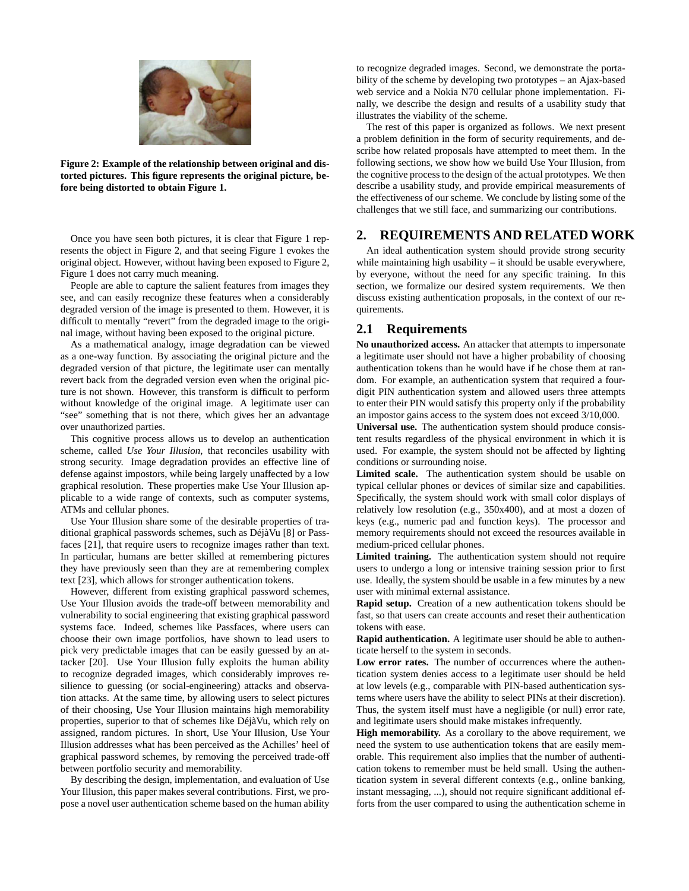

**Figure 2: Example of the relationship between original and distorted pictures. This figure represents the original picture, before being distorted to obtain Figure 1.**

Once you have seen both pictures, it is clear that Figure 1 represents the object in Figure 2, and that seeing Figure 1 evokes the original object. However, without having been exposed to Figure 2, Figure 1 does not carry much meaning.

People are able to capture the salient features from images they see, and can easily recognize these features when a considerably degraded version of the image is presented to them. However, it is difficult to mentally "revert" from the degraded image to the original image, without having been exposed to the original picture.

As a mathematical analogy, image degradation can be viewed as a one-way function. By associating the original picture and the degraded version of that picture, the legitimate user can mentally revert back from the degraded version even when the original picture is not shown. However, this transform is difficult to perform without knowledge of the original image. A legitimate user can "see" something that is not there, which gives her an advantage over unauthorized parties.

This cognitive process allows us to develop an authentication scheme, called *Use Your Illusion*, that reconciles usability with strong security. Image degradation provides an effective line of defense against impostors, while being largely unaffected by a low graphical resolution. These properties make Use Your Illusion applicable to a wide range of contexts, such as computer systems, ATMs and cellular phones.

Use Your Illusion share some of the desirable properties of traditional graphical passwords schemes, such as DéjàVu [8] or Passfaces [21], that require users to recognize images rather than text. In particular, humans are better skilled at remembering pictures they have previously seen than they are at remembering complex text [23], which allows for stronger authentication tokens.

However, different from existing graphical password schemes, Use Your Illusion avoids the trade-off between memorability and vulnerability to social engineering that existing graphical password systems face. Indeed, schemes like Passfaces, where users can choose their own image portfolios, have shown to lead users to pick very predictable images that can be easily guessed by an attacker [20]. Use Your Illusion fully exploits the human ability to recognize degraded images, which considerably improves resilience to guessing (or social-engineering) attacks and observation attacks. At the same time, by allowing users to select pictures of their choosing, Use Your Illusion maintains high memorability properties, superior to that of schemes like DéjàVu, which rely on assigned, random pictures. In short, Use Your Illusion, Use Your Illusion addresses what has been perceived as the Achilles' heel of graphical password schemes, by removing the perceived trade-off between portfolio security and memorability.

By describing the design, implementation, and evaluation of Use Your Illusion, this paper makes several contributions. First, we propose a novel user authentication scheme based on the human ability to recognize degraded images. Second, we demonstrate the portability of the scheme by developing two prototypes – an Ajax-based web service and a Nokia N70 cellular phone implementation. Finally, we describe the design and results of a usability study that illustrates the viability of the scheme.

The rest of this paper is organized as follows. We next present a problem definition in the form of security requirements, and describe how related proposals have attempted to meet them. In the following sections, we show how we build Use Your Illusion, from the cognitive process to the design of the actual prototypes. We then describe a usability study, and provide empirical measurements of the effectiveness of our scheme. We conclude by listing some of the challenges that we still face, and summarizing our contributions.

#### **2. REQUIREMENTS AND RELATED WORK**

An ideal authentication system should provide strong security while maintaining high usability – it should be usable everywhere, by everyone, without the need for any specific training. In this section, we formalize our desired system requirements. We then discuss existing authentication proposals, in the context of our requirements.

#### **2.1 Requirements**

**No unauthorized access.** An attacker that attempts to impersonate a legitimate user should not have a higher probability of choosing authentication tokens than he would have if he chose them at random. For example, an authentication system that required a fourdigit PIN authentication system and allowed users three attempts to enter their PIN would satisfy this property only if the probability an impostor gains access to the system does not exceed 3/10,000.

**Universal use.** The authentication system should produce consistent results regardless of the physical environment in which it is used. For example, the system should not be affected by lighting conditions or surrounding noise.

**Limited scale.** The authentication system should be usable on typical cellular phones or devices of similar size and capabilities. Specifically, the system should work with small color displays of relatively low resolution (e.g., 350x400), and at most a dozen of keys (e.g., numeric pad and function keys). The processor and memory requirements should not exceed the resources available in medium-priced cellular phones.

**Limited training.** The authentication system should not require users to undergo a long or intensive training session prior to first use. Ideally, the system should be usable in a few minutes by a new user with minimal external assistance.

**Rapid setup.** Creation of a new authentication tokens should be fast, so that users can create accounts and reset their authentication tokens with ease.

**Rapid authentication.** A legitimate user should be able to authenticate herself to the system in seconds.

**Low error rates.** The number of occurrences where the authentication system denies access to a legitimate user should be held at low levels (e.g., comparable with PIN-based authentication systems where users have the ability to select PINs at their discretion). Thus, the system itself must have a negligible (or null) error rate, and legitimate users should make mistakes infrequently.

**High memorability.** As a corollary to the above requirement, we need the system to use authentication tokens that are easily memorable. This requirement also implies that the number of authentication tokens to remember must be held small. Using the authentication system in several different contexts (e.g., online banking, instant messaging, ...), should not require significant additional efforts from the user compared to using the authentication scheme in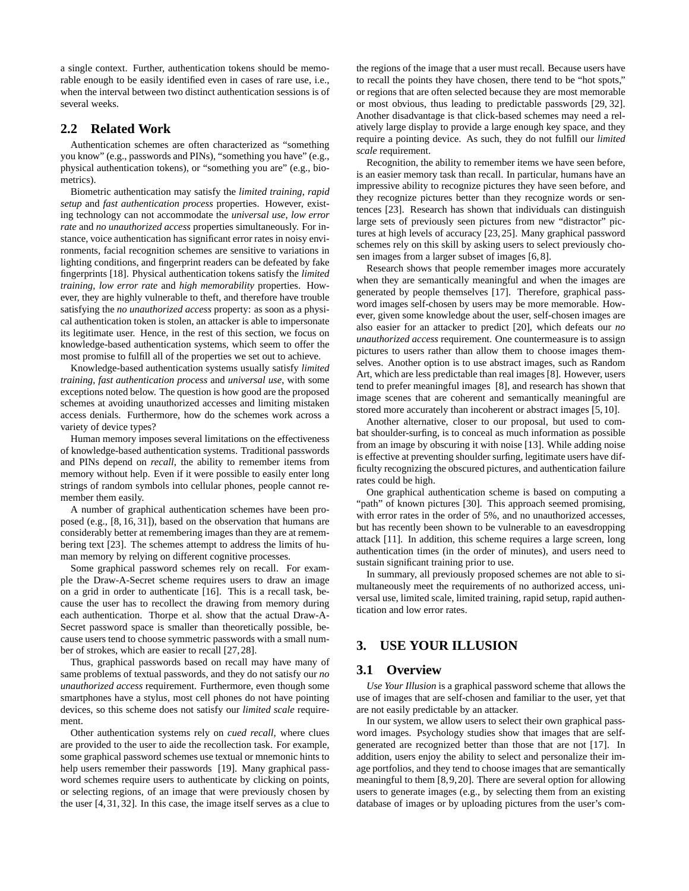a single context. Further, authentication tokens should be memorable enough to be easily identified even in cases of rare use, i.e., when the interval between two distinct authentication sessions is of several weeks.

## **2.2 Related Work**

Authentication schemes are often characterized as "something you know" (e.g., passwords and PINs), "something you have" (e.g., physical authentication tokens), or "something you are" (e.g., biometrics).

Biometric authentication may satisfy the *limited training*, *rapid setup* and *fast authentication process* properties. However, existing technology can not accommodate the *universal use*, *low error rate* and *no unauthorized access* properties simultaneously. For instance, voice authentication has significant error rates in noisy environments, facial recognition schemes are sensitive to variations in lighting conditions, and fingerprint readers can be defeated by fake fingerprints [18]. Physical authentication tokens satisfy the *limited training*, *low error rate* and *high memorability* properties. However, they are highly vulnerable to theft, and therefore have trouble satisfying the *no unauthorized access* property: as soon as a physical authentication token is stolen, an attacker is able to impersonate its legitimate user. Hence, in the rest of this section, we focus on knowledge-based authentication systems, which seem to offer the most promise to fulfill all of the properties we set out to achieve.

Knowledge-based authentication systems usually satisfy *limited training*, *fast authentication process* and *universal use*, with some exceptions noted below. The question is how good are the proposed schemes at avoiding unauthorized accesses and limiting mistaken access denials. Furthermore, how do the schemes work across a variety of device types?

Human memory imposes several limitations on the effectiveness of knowledge-based authentication systems. Traditional passwords and PINs depend on *recall*, the ability to remember items from memory without help. Even if it were possible to easily enter long strings of random symbols into cellular phones, people cannot remember them easily.

A number of graphical authentication schemes have been proposed (e.g., [8, 16, 31]), based on the observation that humans are considerably better at remembering images than they are at remembering text [23]. The schemes attempt to address the limits of human memory by relying on different cognitive processes.

Some graphical password schemes rely on recall. For example the Draw-A-Secret scheme requires users to draw an image on a grid in order to authenticate [16]. This is a recall task, because the user has to recollect the drawing from memory during each authentication. Thorpe et al. show that the actual Draw-A-Secret password space is smaller than theoretically possible, because users tend to choose symmetric passwords with a small number of strokes, which are easier to recall [27, 28].

Thus, graphical passwords based on recall may have many of same problems of textual passwords, and they do not satisfy our *no unauthorized access* requirement. Furthermore, even though some smartphones have a stylus, most cell phones do not have pointing devices, so this scheme does not satisfy our *limited scale* requirement.

Other authentication systems rely on *cued recall*, where clues are provided to the user to aide the recollection task. For example, some graphical password schemes use textual or mnemonic hints to help users remember their passwords [19]. Many graphical password schemes require users to authenticate by clicking on points, or selecting regions, of an image that were previously chosen by the user [4, 31, 32]. In this case, the image itself serves as a clue to the regions of the image that a user must recall. Because users have to recall the points they have chosen, there tend to be "hot spots," or regions that are often selected because they are most memorable or most obvious, thus leading to predictable passwords [29, 32]. Another disadvantage is that click-based schemes may need a relatively large display to provide a large enough key space, and they require a pointing device. As such, they do not fulfill our *limited scale* requirement.

Recognition, the ability to remember items we have seen before, is an easier memory task than recall. In particular, humans have an impressive ability to recognize pictures they have seen before, and they recognize pictures better than they recognize words or sentences [23]. Research has shown that individuals can distinguish large sets of previously seen pictures from new "distractor" pictures at high levels of accuracy [23, 25]. Many graphical password schemes rely on this skill by asking users to select previously chosen images from a larger subset of images [6, 8].

Research shows that people remember images more accurately when they are semantically meaningful and when the images are generated by people themselves [17]. Therefore, graphical password images self-chosen by users may be more memorable. However, given some knowledge about the user, self-chosen images are also easier for an attacker to predict [20], which defeats our *no unauthorized access* requirement. One countermeasure is to assign pictures to users rather than allow them to choose images themselves. Another option is to use abstract images, such as Random Art, which are less predictable than real images [8]. However, users tend to prefer meaningful images [8], and research has shown that image scenes that are coherent and semantically meaningful are stored more accurately than incoherent or abstract images [5, 10].

Another alternative, closer to our proposal, but used to combat shoulder-surfing, is to conceal as much information as possible from an image by obscuring it with noise [13]. While adding noise is effective at preventing shoulder surfing, legitimate users have difficulty recognizing the obscured pictures, and authentication failure rates could be high.

One graphical authentication scheme is based on computing a "path" of known pictures [30]. This approach seemed promising, with error rates in the order of 5%, and no unauthorized accesses, but has recently been shown to be vulnerable to an eavesdropping attack [11]. In addition, this scheme requires a large screen, long authentication times (in the order of minutes), and users need to sustain significant training prior to use.

In summary, all previously proposed schemes are not able to simultaneously meet the requirements of no authorized access, universal use, limited scale, limited training, rapid setup, rapid authentication and low error rates.

## **3. USE YOUR ILLUSION**

#### **3.1 Overview**

*Use Your Illusion* is a graphical password scheme that allows the use of images that are self-chosen and familiar to the user, yet that are not easily predictable by an attacker.

In our system, we allow users to select their own graphical password images. Psychology studies show that images that are selfgenerated are recognized better than those that are not [17]. In addition, users enjoy the ability to select and personalize their image portfolios, and they tend to choose images that are semantically meaningful to them [8,9,20]. There are several option for allowing users to generate images (e.g., by selecting them from an existing database of images or by uploading pictures from the user's com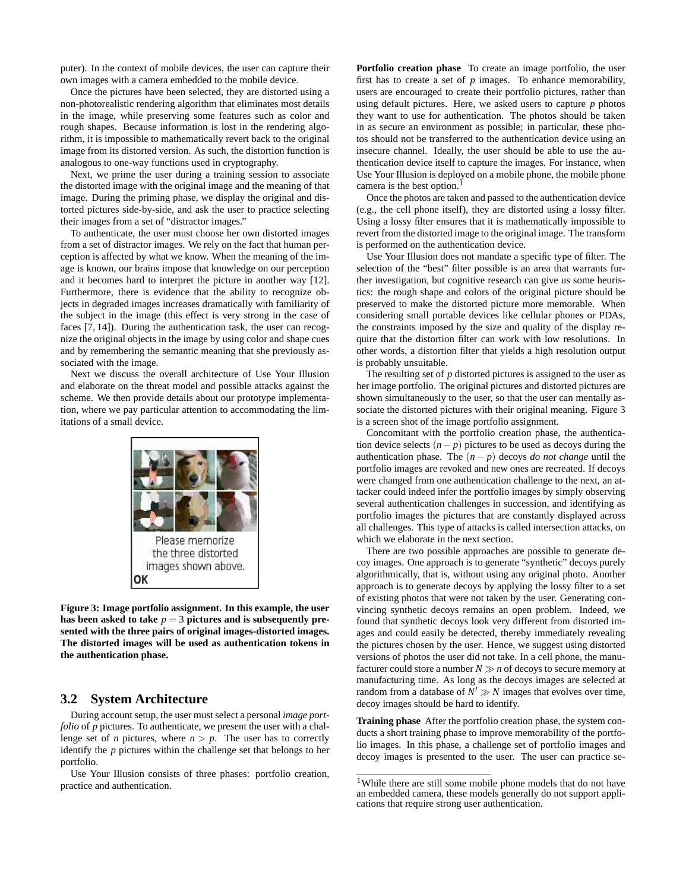puter). In the context of mobile devices, the user can capture their own images with a camera embedded to the mobile device.

Once the pictures have been selected, they are distorted using a non-photorealistic rendering algorithm that eliminates most details in the image, while preserving some features such as color and rough shapes. Because information is lost in the rendering algorithm, it is impossible to mathematically revert back to the original image from its distorted version. As such, the distortion function is analogous to one-way functions used in cryptography.

Next, we prime the user during a training session to associate the distorted image with the original image and the meaning of that image. During the priming phase, we display the original and distorted pictures side-by-side, and ask the user to practice selecting their images from a set of "distractor images."

To authenticate, the user must choose her own distorted images from a set of distractor images. We rely on the fact that human perception is affected by what we know. When the meaning of the image is known, our brains impose that knowledge on our perception and it becomes hard to interpret the picture in another way [12]. Furthermore, there is evidence that the ability to recognize objects in degraded images increases dramatically with familiarity of the subject in the image (this effect is very strong in the case of faces [7, 14]). During the authentication task, the user can recognize the original objects in the image by using color and shape cues and by remembering the semantic meaning that she previously associated with the image.

Next we discuss the overall architecture of Use Your Illusion and elaborate on the threat model and possible attacks against the scheme. We then provide details about our prototype implementation, where we pay particular attention to accommodating the limitations of a small device.



**Figure 3: Image portfolio assignment. In this example, the user** has been asked to take  $p = 3$  pictures and is subsequently pre**sented with the three pairs of original images-distorted images. The distorted images will be used as authentication tokens in the authentication phase.**

#### **3.2 System Architecture**

During account setup, the user must select a personal *image portfolio* of *p* pictures. To authenticate, we present the user with a challenge set of *n* pictures, where  $n > p$ . The user has to correctly identify the *p* pictures within the challenge set that belongs to her portfolio.

Use Your Illusion consists of three phases: portfolio creation, practice and authentication.

**Portfolio creation phase** To create an image portfolio, the user first has to create a set of  $p$  images. To enhance memorability, users are encouraged to create their portfolio pictures, rather than using default pictures. Here, we asked users to capture *p* photos they want to use for authentication. The photos should be taken in as secure an environment as possible; in particular, these photos should not be transferred to the authentication device using an insecure channel. Ideally, the user should be able to use the authentication device itself to capture the images. For instance, when Use Your Illusion is deployed on a mobile phone, the mobile phone camera is the best option.<sup>1</sup>

Once the photos are taken and passed to the authentication device (e.g., the cell phone itself), they are distorted using a lossy filter. Using a lossy filter ensures that it is mathematically impossible to revert from the distorted image to the original image. The transform is performed on the authentication device.

Use Your Illusion does not mandate a specific type of filter. The selection of the "best" filter possible is an area that warrants further investigation, but cognitive research can give us some heuristics: the rough shape and colors of the original picture should be preserved to make the distorted picture more memorable. When considering small portable devices like cellular phones or PDAs, the constraints imposed by the size and quality of the display require that the distortion filter can work with low resolutions. In other words, a distortion filter that yields a high resolution output is probably unsuitable.

The resulting set of *p* distorted pictures is assigned to the user as her image portfolio. The original pictures and distorted pictures are shown simultaneously to the user, so that the user can mentally associate the distorted pictures with their original meaning. Figure 3 is a screen shot of the image portfolio assignment.

Concomitant with the portfolio creation phase, the authentication device selects  $(n-p)$  pictures to be used as decoys during the authentication phase. The  $(n - p)$  decoys *do not change* until the portfolio images are revoked and new ones are recreated. If decoys were changed from one authentication challenge to the next, an attacker could indeed infer the portfolio images by simply observing several authentication challenges in succession, and identifying as portfolio images the pictures that are constantly displayed across all challenges. This type of attacks is called intersection attacks, on which we elaborate in the next section.

There are two possible approaches are possible to generate decoy images. One approach is to generate "synthetic" decoys purely algorithmically, that is, without using any original photo. Another approach is to generate decoys by applying the lossy filter to a set of existing photos that were not taken by the user. Generating convincing synthetic decoys remains an open problem. Indeed, we found that synthetic decoys look very different from distorted images and could easily be detected, thereby immediately revealing the pictures chosen by the user. Hence, we suggest using distorted versions of photos the user did not take. In a cell phone, the manufacturer could store a number  $N \gg n$  of decoys to secure memory at manufacturing time. As long as the decoys images are selected at random from a database of  $N' \gg N$  images that evolves over time, decoy images should be hard to identify.

**Training phase** After the portfolio creation phase, the system conducts a short training phase to improve memorability of the portfolio images. In this phase, a challenge set of portfolio images and decoy images is presented to the user. The user can practice se-

<sup>&</sup>lt;sup>1</sup>While there are still some mobile phone models that do not have an embedded camera, these models generally do not support applications that require strong user authentication.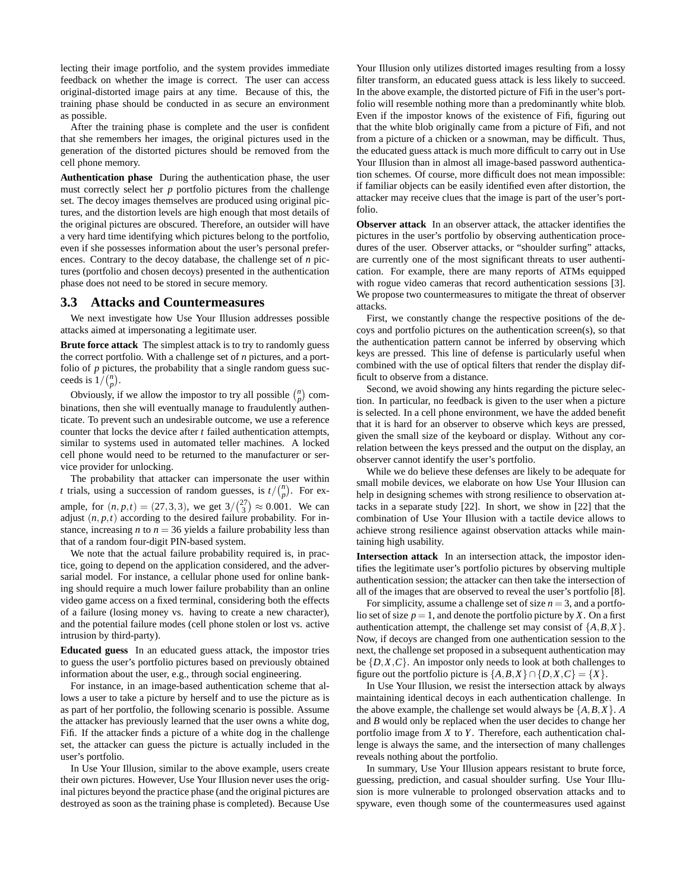lecting their image portfolio, and the system provides immediate feedback on whether the image is correct. The user can access original-distorted image pairs at any time. Because of this, the training phase should be conducted in as secure an environment as possible.

After the training phase is complete and the user is confident that she remembers her images, the original pictures used in the generation of the distorted pictures should be removed from the cell phone memory.

**Authentication phase** During the authentication phase, the user must correctly select her *p* portfolio pictures from the challenge set. The decoy images themselves are produced using original pictures, and the distortion levels are high enough that most details of the original pictures are obscured. Therefore, an outsider will have a very hard time identifying which pictures belong to the portfolio, even if she possesses information about the user's personal preferences. Contrary to the decoy database, the challenge set of *n* pictures (portfolio and chosen decoys) presented in the authentication phase does not need to be stored in secure memory.

#### **3.3 Attacks and Countermeasures**

We next investigate how Use Your Illusion addresses possible attacks aimed at impersonating a legitimate user.

**Brute force attack** The simplest attack is to try to randomly guess the correct portfolio. With a challenge set of *n* pictures, and a portfolio of *p* pictures, the probability that a single random guess succeeds is  $1/(n_p)$ .

Obviously, if we allow the impostor to try all possible  $\binom{n}{p}$  combinations, then she will eventually manage to fraudulently authenticate. To prevent such an undesirable outcome, we use a reference counter that locks the device after *t* failed authentication attempts, similar to systems used in automated teller machines. A locked cell phone would need to be returned to the manufacturer or service provider for unlocking.

The probability that attacker can impersonate the user within *t* trials, using a succession of random guesses, is  $t/(n_p)$ . For example, for  $(n, p, t) = (27, 3, 3)$ , we get  $3 / \binom{27}{3} \approx 0.001$ . We can adjust  $(n, p, t)$  according to the desired failure probability. For instance, increasing *n* to  $n = 36$  yields a failure probability less than that of a random four-digit PIN-based system.

We note that the actual failure probability required is, in practice, going to depend on the application considered, and the adversarial model. For instance, a cellular phone used for online banking should require a much lower failure probability than an online video game access on a fixed terminal, considering both the effects of a failure (losing money vs. having to create a new character), and the potential failure modes (cell phone stolen or lost vs. active intrusion by third-party).

**Educated guess** In an educated guess attack, the impostor tries to guess the user's portfolio pictures based on previously obtained information about the user, e.g., through social engineering.

For instance, in an image-based authentication scheme that allows a user to take a picture by herself and to use the picture as is as part of her portfolio, the following scenario is possible. Assume the attacker has previously learned that the user owns a white dog, Fifi. If the attacker finds a picture of a white dog in the challenge set, the attacker can guess the picture is actually included in the user's portfolio.

In Use Your Illusion, similar to the above example, users create their own pictures. However, Use Your Illusion never uses the original pictures beyond the practice phase (and the original pictures are destroyed as soon as the training phase is completed). Because Use

Your Illusion only utilizes distorted images resulting from a lossy filter transform, an educated guess attack is less likely to succeed. In the above example, the distorted picture of Fifi in the user's portfolio will resemble nothing more than a predominantly white blob. Even if the impostor knows of the existence of Fifi, figuring out that the white blob originally came from a picture of Fifi, and not from a picture of a chicken or a snowman, may be difficult. Thus, the educated guess attack is much more difficult to carry out in Use Your Illusion than in almost all image-based password authentication schemes. Of course, more difficult does not mean impossible: if familiar objects can be easily identified even after distortion, the attacker may receive clues that the image is part of the user's portfolio.

**Observer attack** In an observer attack, the attacker identifies the pictures in the user's portfolio by observing authentication procedures of the user. Observer attacks, or "shoulder surfing" attacks, are currently one of the most significant threats to user authentication. For example, there are many reports of ATMs equipped with rogue video cameras that record authentication sessions [3]. We propose two countermeasures to mitigate the threat of observer attacks.

First, we constantly change the respective positions of the decoys and portfolio pictures on the authentication screen(s), so that the authentication pattern cannot be inferred by observing which keys are pressed. This line of defense is particularly useful when combined with the use of optical filters that render the display difficult to observe from a distance.

Second, we avoid showing any hints regarding the picture selection. In particular, no feedback is given to the user when a picture is selected. In a cell phone environment, we have the added benefit that it is hard for an observer to observe which keys are pressed, given the small size of the keyboard or display. Without any correlation between the keys pressed and the output on the display, an observer cannot identify the user's portfolio.

While we do believe these defenses are likely to be adequate for small mobile devices, we elaborate on how Use Your Illusion can help in designing schemes with strong resilience to observation attacks in a separate study [22]. In short, we show in [22] that the combination of Use Your Illusion with a tactile device allows to achieve strong resilience against observation attacks while maintaining high usability.

**Intersection attack** In an intersection attack, the impostor identifies the legitimate user's portfolio pictures by observing multiple authentication session; the attacker can then take the intersection of all of the images that are observed to reveal the user's portfolio [8].

For simplicity, assume a challenge set of size  $n = 3$ , and a portfolio set of size  $p = 1$ , and denote the portfolio picture by *X*. On a first authentication attempt, the challenge set may consist of  $\{A, B, X\}$ . Now, if decoys are changed from one authentication session to the next, the challenge set proposed in a subsequent authentication may be  $\{D, X, C\}$ . An impostor only needs to look at both challenges to figure out the portfolio picture is  $\{A, B, X\} \cap \{D, X, C\} = \{X\}.$ 

In Use Your Illusion, we resist the intersection attack by always maintaining identical decoys in each authentication challenge. In the above example, the challenge set would always be  $\{A, B, X\}$ . *A* and *B* would only be replaced when the user decides to change her portfolio image from *X* to *Y*. Therefore, each authentication challenge is always the same, and the intersection of many challenges reveals nothing about the portfolio.

In summary, Use Your Illusion appears resistant to brute force, guessing, prediction, and casual shoulder surfing. Use Your Illusion is more vulnerable to prolonged observation attacks and to spyware, even though some of the countermeasures used against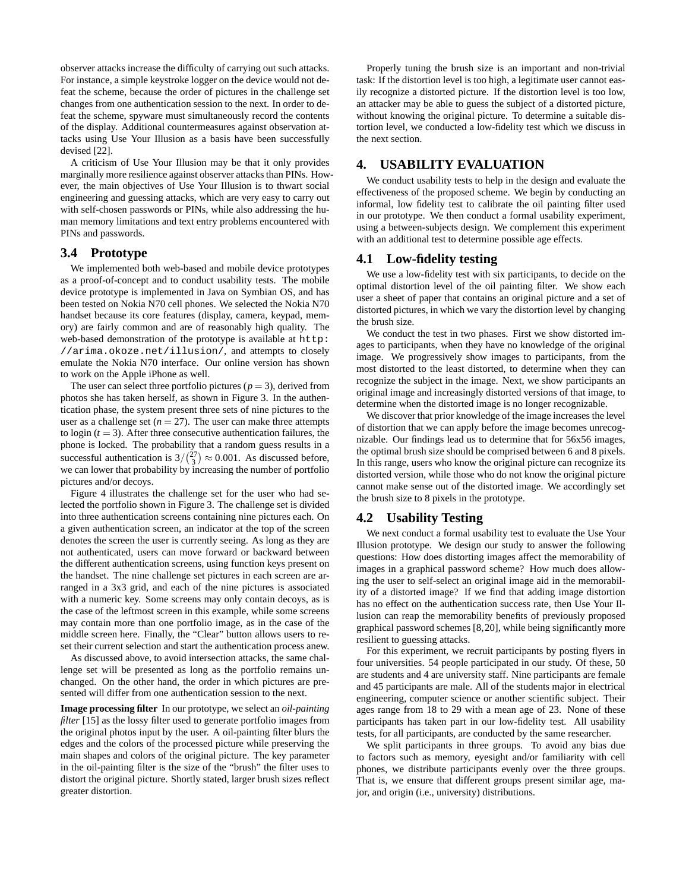observer attacks increase the difficulty of carrying out such attacks. For instance, a simple keystroke logger on the device would not defeat the scheme, because the order of pictures in the challenge set changes from one authentication session to the next. In order to defeat the scheme, spyware must simultaneously record the contents of the display. Additional countermeasures against observation attacks using Use Your Illusion as a basis have been successfully devised [22].

A criticism of Use Your Illusion may be that it only provides marginally more resilience against observer attacks than PINs. However, the main objectives of Use Your Illusion is to thwart social engineering and guessing attacks, which are very easy to carry out with self-chosen passwords or PINs, while also addressing the human memory limitations and text entry problems encountered with PINs and passwords.

### **3.4 Prototype**

We implemented both web-based and mobile device prototypes as a proof-of-concept and to conduct usability tests. The mobile device prototype is implemented in Java on Symbian OS, and has been tested on Nokia N70 cell phones. We selected the Nokia N70 handset because its core features (display, camera, keypad, memory) are fairly common and are of reasonably high quality. The web-based demonstration of the prototype is available at http: //arima.okoze.net/illusion/, and attempts to closely emulate the Nokia N70 interface. Our online version has shown to work on the Apple iPhone as well.

The user can select three portfolio pictures ( $p = 3$ ), derived from photos she has taken herself, as shown in Figure 3. In the authentication phase, the system present three sets of nine pictures to the user as a challenge set  $(n = 27)$ . The user can make three attempts to login  $(t = 3)$ . After three consecutive authentication failures, the phone is locked. The probability that a random guess results in a successful authentication is  $3\binom{27}{3} \approx 0.001$ . As discussed before, we can lower that probability by increasing the number of portfolio pictures and/or decoys.

Figure 4 illustrates the challenge set for the user who had selected the portfolio shown in Figure 3. The challenge set is divided into three authentication screens containing nine pictures each. On a given authentication screen, an indicator at the top of the screen denotes the screen the user is currently seeing. As long as they are not authenticated, users can move forward or backward between the different authentication screens, using function keys present on the handset. The nine challenge set pictures in each screen are arranged in a 3x3 grid, and each of the nine pictures is associated with a numeric key. Some screens may only contain decoys, as is the case of the leftmost screen in this example, while some screens may contain more than one portfolio image, as in the case of the middle screen here. Finally, the "Clear" button allows users to reset their current selection and start the authentication process anew.

As discussed above, to avoid intersection attacks, the same challenge set will be presented as long as the portfolio remains unchanged. On the other hand, the order in which pictures are presented will differ from one authentication session to the next.

**Image processing filter** In our prototype, we select an *oil-painting filter* [15] as the lossy filter used to generate portfolio images from the original photos input by the user. A oil-painting filter blurs the edges and the colors of the processed picture while preserving the main shapes and colors of the original picture. The key parameter in the oil-painting filter is the size of the "brush" the filter uses to distort the original picture. Shortly stated, larger brush sizes reflect greater distortion.

Properly tuning the brush size is an important and non-trivial task: If the distortion level is too high, a legitimate user cannot easily recognize a distorted picture. If the distortion level is too low, an attacker may be able to guess the subject of a distorted picture, without knowing the original picture. To determine a suitable distortion level, we conducted a low-fidelity test which we discuss in the next section.

### **4. USABILITY EVALUATION**

We conduct usability tests to help in the design and evaluate the effectiveness of the proposed scheme. We begin by conducting an informal, low fidelity test to calibrate the oil painting filter used in our prototype. We then conduct a formal usability experiment, using a between-subjects design. We complement this experiment with an additional test to determine possible age effects.

### **4.1 Low-fidelity testing**

We use a low-fidelity test with six participants, to decide on the optimal distortion level of the oil painting filter. We show each user a sheet of paper that contains an original picture and a set of distorted pictures, in which we vary the distortion level by changing the brush size.

We conduct the test in two phases. First we show distorted images to participants, when they have no knowledge of the original image. We progressively show images to participants, from the most distorted to the least distorted, to determine when they can recognize the subject in the image. Next, we show participants an original image and increasingly distorted versions of that image, to determine when the distorted image is no longer recognizable.

We discover that prior knowledge of the image increases the level of distortion that we can apply before the image becomes unrecognizable. Our findings lead us to determine that for 56x56 images, the optimal brush size should be comprised between 6 and 8 pixels. In this range, users who know the original picture can recognize its distorted version, while those who do not know the original picture cannot make sense out of the distorted image. We accordingly set the brush size to 8 pixels in the prototype.

#### **4.2 Usability Testing**

We next conduct a formal usability test to evaluate the Use Your Illusion prototype. We design our study to answer the following questions: How does distorting images affect the memorability of images in a graphical password scheme? How much does allowing the user to self-select an original image aid in the memorability of a distorted image? If we find that adding image distortion has no effect on the authentication success rate, then Use Your Illusion can reap the memorability benefits of previously proposed graphical password schemes [8,20], while being significantly more resilient to guessing attacks.

For this experiment, we recruit participants by posting flyers in four universities. 54 people participated in our study. Of these, 50 are students and 4 are university staff. Nine participants are female and 45 participants are male. All of the students major in electrical engineering, computer science or another scientific subject. Their ages range from 18 to 29 with a mean age of 23. None of these participants has taken part in our low-fidelity test. All usability tests, for all participants, are conducted by the same researcher.

We split participants in three groups. To avoid any bias due to factors such as memory, eyesight and/or familiarity with cell phones, we distribute participants evenly over the three groups. That is, we ensure that different groups present similar age, major, and origin (i.e., university) distributions.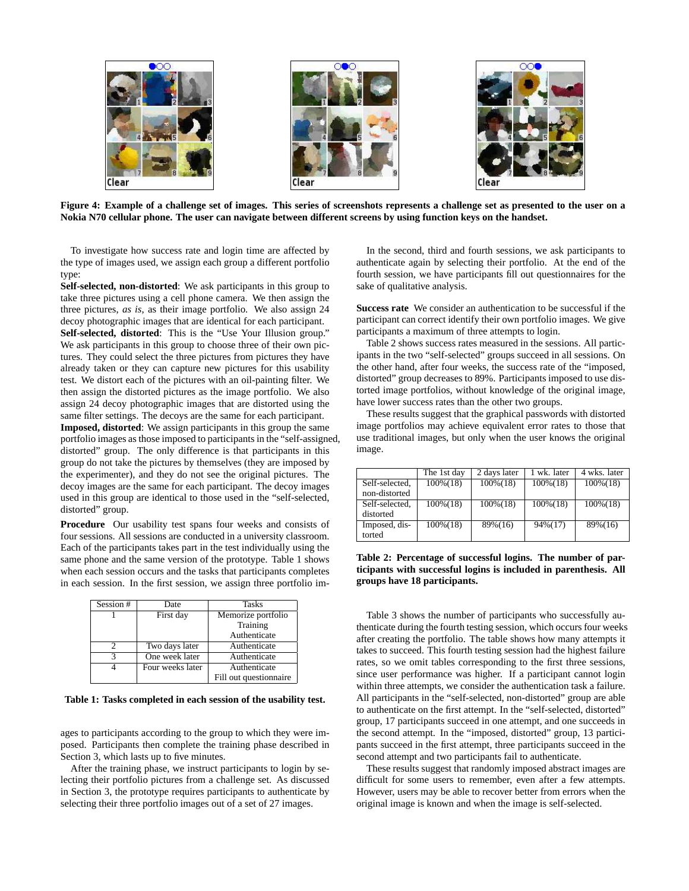

**Figure 4: Example of a challenge set of images. This series of screenshots represents a challenge set as presented to the user on a Nokia N70 cellular phone. The user can navigate between different screens by using function keys on the handset.**

To investigate how success rate and login time are affected by the type of images used, we assign each group a different portfolio type:

**Self-selected, non-distorted**: We ask participants in this group to take three pictures using a cell phone camera. We then assign the three pictures, *as is*, as their image portfolio. We also assign 24 decoy photographic images that are identical for each participant. **Self-selected, distorted**: This is the "Use Your Illusion group." We ask participants in this group to choose three of their own pictures. They could select the three pictures from pictures they have already taken or they can capture new pictures for this usability test. We distort each of the pictures with an oil-painting filter. We then assign the distorted pictures as the image portfolio. We also assign 24 decoy photographic images that are distorted using the same filter settings. The decoys are the same for each participant. **Imposed, distorted**: We assign participants in this group the same portfolio images as those imposed to participants in the "self-assigned, distorted" group. The only difference is that participants in this group do not take the pictures by themselves (they are imposed by the experimenter), and they do not see the original pictures. The decoy images are the same for each participant. The decoy images used in this group are identical to those used in the "self-selected, distorted" group.

**Procedure** Our usability test spans four weeks and consists of four sessions. All sessions are conducted in a university classroom. Each of the participants takes part in the test individually using the same phone and the same version of the prototype. Table 1 shows when each session occurs and the tasks that participants completes in each session. In the first session, we assign three portfolio im-

| Session # | Date             | <b>Tasks</b>           |
|-----------|------------------|------------------------|
|           | First day        | Memorize portfolio     |
|           |                  | Training               |
|           |                  | Authenticate           |
|           | Two days later   | Authenticate           |
|           | One week later   | Authenticate           |
|           | Four weeks later | Authenticate           |
|           |                  | Fill out questionnaire |

**Table 1: Tasks completed in each session of the usability test.**

ages to participants according to the group to which they were imposed. Participants then complete the training phase described in Section 3, which lasts up to five minutes.

After the training phase, we instruct participants to login by selecting their portfolio pictures from a challenge set. As discussed in Section 3, the prototype requires participants to authenticate by selecting their three portfolio images out of a set of 27 images.

In the second, third and fourth sessions, we ask participants to authenticate again by selecting their portfolio. At the end of the fourth session, we have participants fill out questionnaires for the sake of qualitative analysis.

**Success rate** We consider an authentication to be successful if the participant can correct identify their own portfolio images. We give participants a maximum of three attempts to login.

Table 2 shows success rates measured in the sessions. All participants in the two "self-selected" groups succeed in all sessions. On the other hand, after four weeks, the success rate of the "imposed, distorted" group decreases to 89%. Participants imposed to use distorted image portfolios, without knowledge of the original image, have lower success rates than the other two groups.

These results suggest that the graphical passwords with distorted image portfolios may achieve equivalent error rates to those that use traditional images, but only when the user knows the original image.

|                | The 1st day | 2 days later | 1 wk. later | 4 wks. later |
|----------------|-------------|--------------|-------------|--------------|
| Self-selected, | $100\%(18)$ | $100\% (18)$ | $100\%(18)$ | $100\%(18)$  |
| non-distorted  |             |              |             |              |
| Self-selected, | $100\%(18)$ | $100\% (18)$ | $100\%(18)$ | $100\%(18)$  |
| distorted      |             |              |             |              |
| Imposed, dis-  | $100\%(18)$ | 89%(16)      | 94%(17)     | 89%(16)      |
| torted         |             |              |             |              |

**Table 2: Percentage of successful logins. The number of participants with successful logins is included in parenthesis. All groups have 18 participants.**

Table 3 shows the number of participants who successfully authenticate during the fourth testing session, which occurs four weeks after creating the portfolio. The table shows how many attempts it takes to succeed. This fourth testing session had the highest failure rates, so we omit tables corresponding to the first three sessions, since user performance was higher. If a participant cannot login within three attempts, we consider the authentication task a failure. All participants in the "self-selected, non-distorted" group are able to authenticate on the first attempt. In the "self-selected, distorted" group, 17 participants succeed in one attempt, and one succeeds in the second attempt. In the "imposed, distorted" group, 13 participants succeed in the first attempt, three participants succeed in the second attempt and two participants fail to authenticate.

These results suggest that randomly imposed abstract images are difficult for some users to remember, even after a few attempts. However, users may be able to recover better from errors when the original image is known and when the image is self-selected.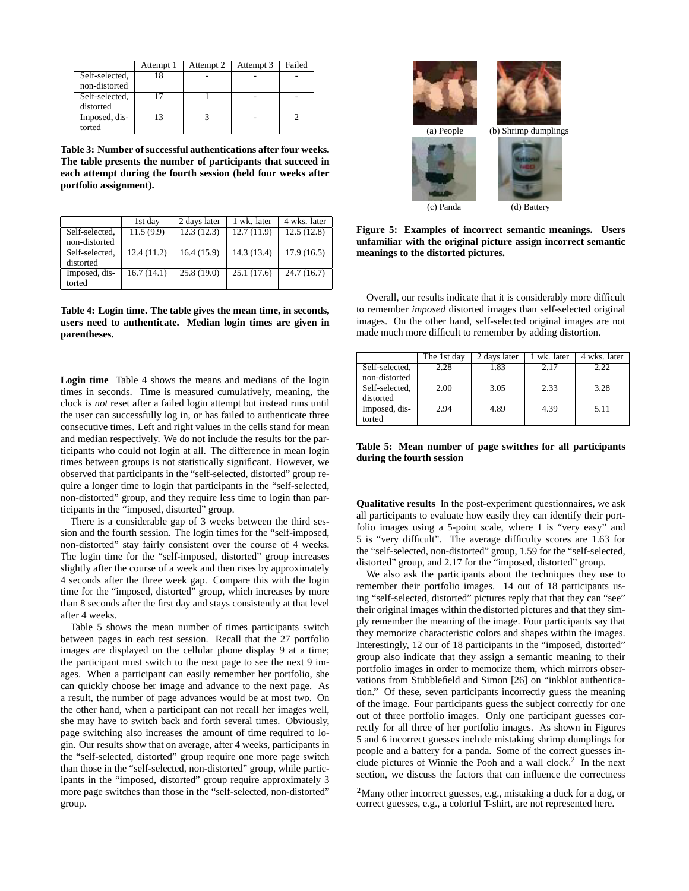|                | Attempt 1 | Attempt 2 | Attempt 3 | Failed |
|----------------|-----------|-----------|-----------|--------|
| Self-selected, |           |           |           |        |
| non-distorted  |           |           |           |        |
| Self-selected, |           |           |           |        |
| distorted      |           |           |           |        |
| Imposed, dis-  |           |           |           |        |
| torted         |           |           |           |        |

**Table 3: Number of successful authentications after four weeks. The table presents the number of participants that succeed in each attempt during the fourth session (held four weeks after portfolio assignment).**

|                | 1st day     | 2 days later | 1 wk later  | 4 wks. later |
|----------------|-------------|--------------|-------------|--------------|
| Self-selected, | 11.5(9.9)   | 12.3(12.3)   | 12.7(11.9)  | 12.5(12.8)   |
| non-distorted  |             |              |             |              |
| Self-selected, | 12.4 (11.2) | 16.4(15.9)   | 14.3 (13.4) | 17.9(16.5)   |
| distorted      |             |              |             |              |
| Imposed, dis-  | 16.7(14.1)  | 25.8(19.0)   | 25.1(17.6)  | 24.7(16.7)   |
| torted         |             |              |             |              |

**Table 4: Login time. The table gives the mean time, in seconds, users need to authenticate. Median login times are given in parentheses.**

**Login time** Table 4 shows the means and medians of the login times in seconds. Time is measured cumulatively, meaning, the clock is *not* reset after a failed login attempt but instead runs until the user can successfully log in, or has failed to authenticate three consecutive times. Left and right values in the cells stand for mean and median respectively. We do not include the results for the participants who could not login at all. The difference in mean login times between groups is not statistically significant. However, we observed that participants in the "self-selected, distorted" group require a longer time to login that participants in the "self-selected, non-distorted" group, and they require less time to login than participants in the "imposed, distorted" group.

There is a considerable gap of 3 weeks between the third session and the fourth session. The login times for the "self-imposed, non-distorted" stay fairly consistent over the course of 4 weeks. The login time for the "self-imposed, distorted" group increases slightly after the course of a week and then rises by approximately 4 seconds after the three week gap. Compare this with the login time for the "imposed, distorted" group, which increases by more than 8 seconds after the first day and stays consistently at that level after 4 weeks.

Table 5 shows the mean number of times participants switch between pages in each test session. Recall that the 27 portfolio images are displayed on the cellular phone display 9 at a time; the participant must switch to the next page to see the next 9 images. When a participant can easily remember her portfolio, she can quickly choose her image and advance to the next page. As a result, the number of page advances would be at most two. On the other hand, when a participant can not recall her images well, she may have to switch back and forth several times. Obviously, page switching also increases the amount of time required to login. Our results show that on average, after 4 weeks, participants in the "self-selected, distorted" group require one more page switch than those in the "self-selected, non-distorted" group, while participants in the "imposed, distorted" group require approximately 3 more page switches than those in the "self-selected, non-distorted" group.



**Figure 5: Examples of incorrect semantic meanings. Users unfamiliar with the original picture assign incorrect semantic meanings to the distorted pictures.**

Overall, our results indicate that it is considerably more difficult to remember *imposed* distorted images than self-selected original images. On the other hand, self-selected original images are not made much more difficult to remember by adding distortion.

|                | The 1st day | 2 days later | wk. later | 4 wks. later |
|----------------|-------------|--------------|-----------|--------------|
| Self-selected, | 2.28        | 1.83         | 2.17      | 2.22         |
| non-distorted  |             |              |           |              |
| Self-selected, | 2.00        | 3.05         | 2.33      | 3.28         |
| distorted      |             |              |           |              |
| Imposed, dis-  | 2.94        | 4.89         | 4.39      | 5.11         |
| torted         |             |              |           |              |

**Table 5: Mean number of page switches for all participants during the fourth session**

**Qualitative results** In the post-experiment questionnaires, we ask all participants to evaluate how easily they can identify their portfolio images using a 5-point scale, where 1 is "very easy" and 5 is "very difficult". The average difficulty scores are 1.63 for the "self-selected, non-distorted" group, 1.59 for the "self-selected, distorted" group, and 2.17 for the "imposed, distorted" group.

We also ask the participants about the techniques they use to remember their portfolio images. 14 out of 18 participants using "self-selected, distorted" pictures reply that that they can "see" their original images within the distorted pictures and that they simply remember the meaning of the image. Four participants say that they memorize characteristic colors and shapes within the images. Interestingly, 12 our of 18 participants in the "imposed, distorted" group also indicate that they assign a semantic meaning to their portfolio images in order to memorize them, which mirrors observations from Stubblefield and Simon [26] on "inkblot authentication." Of these, seven participants incorrectly guess the meaning of the image. Four participants guess the subject correctly for one out of three portfolio images. Only one participant guesses correctly for all three of her portfolio images. As shown in Figures 5 and 6 incorrect guesses include mistaking shrimp dumplings for people and a battery for a panda. Some of the correct guesses include pictures of Winnie the Pooh and a wall clock.<sup>2</sup> In the next section, we discuss the factors that can influence the correctness

<sup>&</sup>lt;sup>2</sup>Many other incorrect guesses, e.g., mistaking a duck for a dog, or correct guesses, e.g., a colorful T-shirt, are not represented here.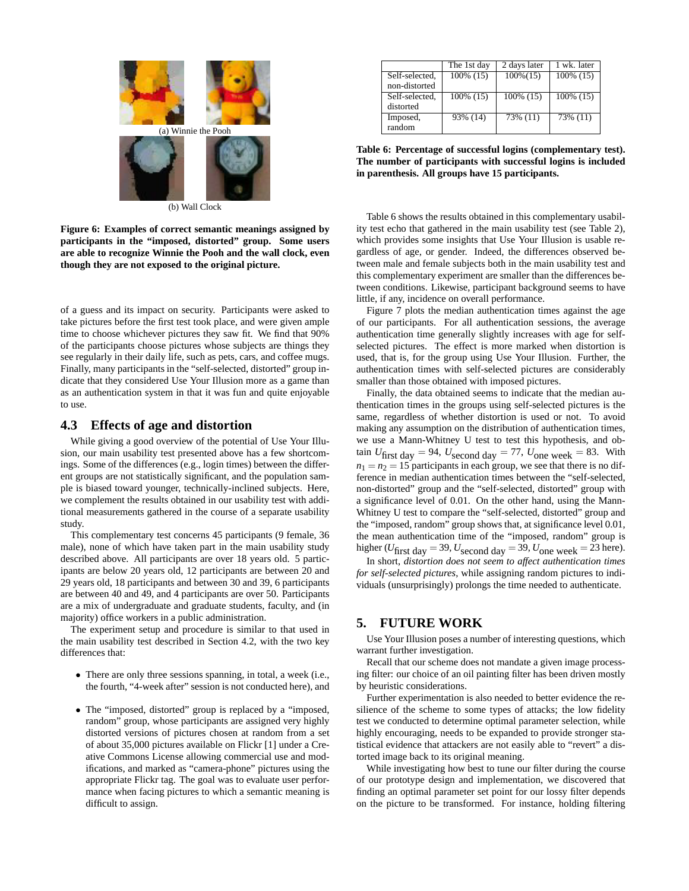

**Figure 6: Examples of correct semantic meanings assigned by participants in the "imposed, distorted" group. Some users are able to recognize Winnie the Pooh and the wall clock, even though they are not exposed to the original picture.**

of a guess and its impact on security. Participants were asked to take pictures before the first test took place, and were given ample time to choose whichever pictures they saw fit. We find that 90% of the participants choose pictures whose subjects are things they see regularly in their daily life, such as pets, cars, and coffee mugs. Finally, many participants in the "self-selected, distorted" group indicate that they considered Use Your Illusion more as a game than as an authentication system in that it was fun and quite enjoyable to use.

#### **4.3 Effects of age and distortion**

While giving a good overview of the potential of Use Your Illusion, our main usability test presented above has a few shortcomings. Some of the differences (e.g., login times) between the different groups are not statistically significant, and the population sample is biased toward younger, technically-inclined subjects. Here, we complement the results obtained in our usability test with additional measurements gathered in the course of a separate usability study.

This complementary test concerns 45 participants (9 female, 36 male), none of which have taken part in the main usability study described above. All participants are over 18 years old. 5 participants are below 20 years old, 12 participants are between 20 and 29 years old, 18 participants and between 30 and 39, 6 participants are between 40 and 49, and 4 participants are over 50. Participants are a mix of undergraduate and graduate students, faculty, and (in majority) office workers in a public administration.

The experiment setup and procedure is similar to that used in the main usability test described in Section 4.2, with the two key differences that:

- There are only three sessions spanning, in total, a week (i.e., the fourth, "4-week after" session is not conducted here), and
- The "imposed, distorted" group is replaced by a "imposed, random" group, whose participants are assigned very highly distorted versions of pictures chosen at random from a set of about 35,000 pictures available on Flickr [1] under a Creative Commons License allowing commercial use and modifications, and marked as "camera-phone" pictures using the appropriate Flickr tag. The goal was to evaluate user performance when facing pictures to which a semantic meaning is difficult to assign.

|                | The 1st day | 2 days later | 1 wk. later  |
|----------------|-------------|--------------|--------------|
| Self-selected, | 100% (15)   | $100\%(15)$  | 100% (15)    |
| non-distorted  |             |              |              |
| Self-selected, | 100% (15)   | 100% (15)    | $100\%$ (15) |
| distorted      |             |              |              |
| Imposed,       | 93% (14)    | 73% (11)     | 73% (11)     |
| random         |             |              |              |

**Table 6: Percentage of successful logins (complementary test). The number of participants with successful logins is included in parenthesis. All groups have 15 participants.**

Table 6 shows the results obtained in this complementary usability test echo that gathered in the main usability test (see Table 2), which provides some insights that Use Your Illusion is usable regardless of age, or gender. Indeed, the differences observed between male and female subjects both in the main usability test and this complementary experiment are smaller than the differences between conditions. Likewise, participant background seems to have little, if any, incidence on overall performance.

Figure 7 plots the median authentication times against the age of our participants. For all authentication sessions, the average authentication time generally slightly increases with age for selfselected pictures. The effect is more marked when distortion is used, that is, for the group using Use Your Illusion. Further, the authentication times with self-selected pictures are considerably smaller than those obtained with imposed pictures.

Finally, the data obtained seems to indicate that the median authentication times in the groups using self-selected pictures is the same, regardless of whether distortion is used or not. To avoid making any assumption on the distribution of authentication times, we use a Mann-Whitney U test to test this hypothesis, and obtain  $U_{\text{first day}} = 94$ ,  $U_{\text{second day}} = 77$ ,  $U_{\text{one week}} = 83$ . With  $n_1 = n_2 = 15$  participants in each group, we see that there is no difference in median authentication times between the "self-selected, non-distorted" group and the "self-selected, distorted" group with a significance level of 0.01. On the other hand, using the Mann-Whitney U test to compare the "self-selected, distorted" group and the "imposed, random" group shows that, at significance level 0.01, the mean authentication time of the "imposed, random" group is higher ( $U_{\text{first day}} = 39$ ,  $U_{\text{second day}} = 39$ ,  $U_{\text{one week}} = 23$  here).

In short, *distortion does not seem to affect authentication times for self-selected pictures*, while assigning random pictures to individuals (unsurprisingly) prolongs the time needed to authenticate.

#### **5. FUTURE WORK**

Use Your Illusion poses a number of interesting questions, which warrant further investigation.

Recall that our scheme does not mandate a given image processing filter: our choice of an oil painting filter has been driven mostly by heuristic considerations.

Further experimentation is also needed to better evidence the resilience of the scheme to some types of attacks; the low fidelity test we conducted to determine optimal parameter selection, while highly encouraging, needs to be expanded to provide stronger statistical evidence that attackers are not easily able to "revert" a distorted image back to its original meaning.

While investigating how best to tune our filter during the course of our prototype design and implementation, we discovered that finding an optimal parameter set point for our lossy filter depends on the picture to be transformed. For instance, holding filtering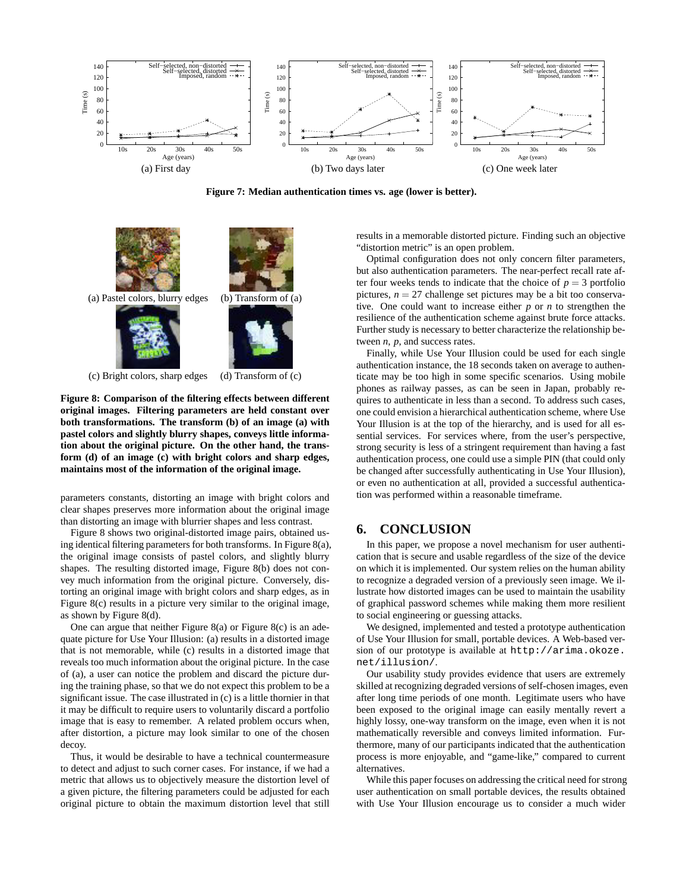

**Figure 7: Median authentication times vs. age (lower is better).**



(c) Bright colors, sharp edges (d) Transform of (c)

**Figure 8: Comparison of the filtering effects between different original images. Filtering parameters are held constant over both transformations. The transform (b) of an image (a) with pastel colors and slightly blurry shapes, conveys little information about the original picture. On the other hand, the transform (d) of an image (c) with bright colors and sharp edges, maintains most of the information of the original image.**

parameters constants, distorting an image with bright colors and clear shapes preserves more information about the original image than distorting an image with blurrier shapes and less contrast.

Figure 8 shows two original-distorted image pairs, obtained using identical filtering parameters for both transforms. In Figure 8(a), the original image consists of pastel colors, and slightly blurry shapes. The resulting distorted image, Figure 8(b) does not convey much information from the original picture. Conversely, distorting an original image with bright colors and sharp edges, as in Figure 8(c) results in a picture very similar to the original image, as shown by Figure 8(d).

One can argue that neither Figure 8(a) or Figure 8(c) is an adequate picture for Use Your Illusion: (a) results in a distorted image that is not memorable, while (c) results in a distorted image that reveals too much information about the original picture. In the case of (a), a user can notice the problem and discard the picture during the training phase, so that we do not expect this problem to be a significant issue. The case illustrated in (c) is a little thornier in that it may be difficult to require users to voluntarily discard a portfolio image that is easy to remember. A related problem occurs when, after distortion, a picture may look similar to one of the chosen decoy.

Thus, it would be desirable to have a technical countermeasure to detect and adjust to such corner cases. For instance, if we had a metric that allows us to objectively measure the distortion level of a given picture, the filtering parameters could be adjusted for each original picture to obtain the maximum distortion level that still results in a memorable distorted picture. Finding such an objective "distortion metric" is an open problem.

Optimal configuration does not only concern filter parameters, but also authentication parameters. The near-perfect recall rate after four weeks tends to indicate that the choice of  $p = 3$  portfolio pictures,  $n = 27$  challenge set pictures may be a bit too conservative. One could want to increase either *p* or *n* to strengthen the resilience of the authentication scheme against brute force attacks. Further study is necessary to better characterize the relationship between *n*, *p*, and success rates.

Finally, while Use Your Illusion could be used for each single authentication instance, the 18 seconds taken on average to authenticate may be too high in some specific scenarios. Using mobile phones as railway passes, as can be seen in Japan, probably requires to authenticate in less than a second. To address such cases, one could envision a hierarchical authentication scheme, where Use Your Illusion is at the top of the hierarchy, and is used for all essential services. For services where, from the user's perspective, strong security is less of a stringent requirement than having a fast authentication process, one could use a simple PIN (that could only be changed after successfully authenticating in Use Your Illusion), or even no authentication at all, provided a successful authentication was performed within a reasonable timeframe.

#### **6. CONCLUSION**

In this paper, we propose a novel mechanism for user authentication that is secure and usable regardless of the size of the device on which it is implemented. Our system relies on the human ability to recognize a degraded version of a previously seen image. We illustrate how distorted images can be used to maintain the usability of graphical password schemes while making them more resilient to social engineering or guessing attacks.

We designed, implemented and tested a prototype authentication of Use Your Illusion for small, portable devices. A Web-based version of our prototype is available at http://arima.okoze. net/illusion/.

Our usability study provides evidence that users are extremely skilled at recognizing degraded versions of self-chosen images, even after long time periods of one month. Legitimate users who have been exposed to the original image can easily mentally revert a highly lossy, one-way transform on the image, even when it is not mathematically reversible and conveys limited information. Furthermore, many of our participants indicated that the authentication process is more enjoyable, and "game-like," compared to current alternatives.

While this paper focuses on addressing the critical need for strong user authentication on small portable devices, the results obtained with Use Your Illusion encourage us to consider a much wider